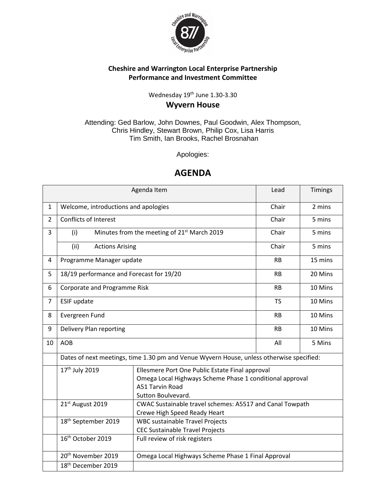

## **Cheshire and Warrington Local Enterprise Partnership Performance and Investment Committee**

## Wednesday 19<sup>th</sup> June 1.30-3.30 **Wyvern House**

Attending: Ged Barlow, John Downes, Paul Goodwin, Alex Thompson, Chris Hindley, Stewart Brown, Philip Cox, Lisa Harris Tim Smith, Ian Brooks, Rachel Brosnahan

Apologies:

## **AGENDA**

|                |                                                                                                                                                                                    | Agenda Item                                                                              | Lead      | Timings |  |
|----------------|------------------------------------------------------------------------------------------------------------------------------------------------------------------------------------|------------------------------------------------------------------------------------------|-----------|---------|--|
| $\mathbf{1}$   | Welcome, introductions and apologies                                                                                                                                               | Chair                                                                                    | 2 mins    |         |  |
| $\overline{2}$ | <b>Conflicts of Interest</b>                                                                                                                                                       |                                                                                          | Chair     | 5 mins  |  |
| 3              | (i)                                                                                                                                                                                | Minutes from the meeting of 21 <sup>st</sup> March 2019                                  | Chair     | 5 mins  |  |
|                | (ii)<br><b>Actions Arising</b>                                                                                                                                                     |                                                                                          | Chair     | 5 mins  |  |
| 4              | Programme Manager update                                                                                                                                                           |                                                                                          | <b>RB</b> | 15 mins |  |
| 5              | 18/19 performance and Forecast for 19/20                                                                                                                                           |                                                                                          | <b>RB</b> | 20 Mins |  |
| 6              | Corporate and Programme Risk                                                                                                                                                       | <b>RB</b>                                                                                | 10 Mins   |         |  |
| $\overline{7}$ | <b>ESIF update</b>                                                                                                                                                                 | <b>TS</b>                                                                                | 10 Mins   |         |  |
| 8              | Evergreen Fund                                                                                                                                                                     | <b>RB</b>                                                                                | 10 Mins   |         |  |
| 9              | Delivery Plan reporting                                                                                                                                                            | <b>RB</b>                                                                                | 10 Mins   |         |  |
| 10             | <b>AOB</b>                                                                                                                                                                         | All                                                                                      | 5 Mins    |         |  |
|                |                                                                                                                                                                                    | Dates of next meetings, time 1.30 pm and Venue Wyvern House, unless otherwise specified: |           |         |  |
|                | 17 <sup>th</sup> July 2019<br>Ellesmere Port One Public Estate Final approval<br>Omega Local Highways Scheme Phase 1 conditional approval<br>A51 Tarvin Road<br>Sutton Boulvevard. |                                                                                          |           |         |  |
|                | 21st August 2019                                                                                                                                                                   | CWAC Sustainable travel schemes: A5517 and Canal Towpath<br>Crewe High Speed Ready Heart |           |         |  |
|                | 18 <sup>th</sup> September 2019<br><b>WBC sustainable Travel Projects</b><br><b>CEC Sustainable Travel Projects</b>                                                                |                                                                                          |           |         |  |
|                | 16th October 2019<br>Full review of risk registers                                                                                                                                 |                                                                                          |           |         |  |
|                | 20 <sup>th</sup> November 2019                                                                                                                                                     | Omega Local Highways Scheme Phase 1 Final Approval                                       |           |         |  |
|                | 18 <sup>th</sup> December 2019                                                                                                                                                     |                                                                                          |           |         |  |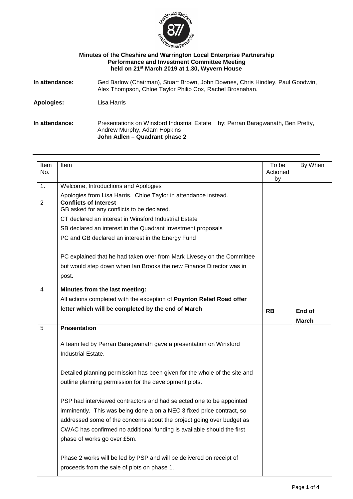

### **Minutes of the Cheshire and Warrington Local Enterprise Partnership Performance and Investment Committee Meeting held on 21st March 2019 at 1.30, Wyvern House**

| Ged Barlow (Chairman), Stuart Brown, John Downes, Chris Hindley, Paul Goodwin,<br>In attendance:<br>Alex Thompson, Chloe Taylor Philip Cox, Rachel Brosnahan. |                                                                            |                                     |  |
|---------------------------------------------------------------------------------------------------------------------------------------------------------------|----------------------------------------------------------------------------|-------------------------------------|--|
| Apologies:                                                                                                                                                    | Lisa Harris                                                                |                                     |  |
| In attendance:                                                                                                                                                | Presentations on Winsford Industrial Estate<br>Andrew Murphy, Adam Hopkins | by: Perran Baragwanath, Ben Pretty, |  |

**John Adlen – Quadrant phase 2**

| Item<br>No.    | Item                                                                                                                                                                                                                                                                                                                            | To be<br>Actioned<br>by | By When      |
|----------------|---------------------------------------------------------------------------------------------------------------------------------------------------------------------------------------------------------------------------------------------------------------------------------------------------------------------------------|-------------------------|--------------|
| 1.             | Welcome, Introductions and Apologies                                                                                                                                                                                                                                                                                            |                         |              |
|                | Apologies from Lisa Harris. Chloe Taylor in attendance instead.                                                                                                                                                                                                                                                                 |                         |              |
| $\overline{2}$ | <b>Conflicts of Interest</b><br>GB asked for any conflicts to be declared.                                                                                                                                                                                                                                                      |                         |              |
|                | CT declared an interest in Winsford Industrial Estate                                                                                                                                                                                                                                                                           |                         |              |
|                | SB declared an interest.in the Quadrant Investment proposals                                                                                                                                                                                                                                                                    |                         |              |
|                | PC and GB declared an interest in the Energy Fund                                                                                                                                                                                                                                                                               |                         |              |
|                | PC explained that he had taken over from Mark Livesey on the Committee                                                                                                                                                                                                                                                          |                         |              |
|                | but would step down when Ian Brooks the new Finance Director was in                                                                                                                                                                                                                                                             |                         |              |
|                | post.                                                                                                                                                                                                                                                                                                                           |                         |              |
| $\overline{4}$ | Minutes from the last meeting:                                                                                                                                                                                                                                                                                                  |                         |              |
|                | All actions completed with the exception of Poynton Relief Road offer                                                                                                                                                                                                                                                           |                         |              |
|                | letter which will be completed by the end of March                                                                                                                                                                                                                                                                              | <b>RB</b>               | End of       |
|                |                                                                                                                                                                                                                                                                                                                                 |                         | <b>March</b> |
| 5              | <b>Presentation</b>                                                                                                                                                                                                                                                                                                             |                         |              |
|                | A team led by Perran Baragwanath gave a presentation on Winsford                                                                                                                                                                                                                                                                |                         |              |
|                | Industrial Estate.                                                                                                                                                                                                                                                                                                              |                         |              |
|                | Detailed planning permission has been given for the whole of the site and<br>outline planning permission for the development plots.                                                                                                                                                                                             |                         |              |
|                | PSP had interviewed contractors and had selected one to be appointed<br>imminently. This was being done a on a NEC 3 fixed price contract, so<br>addressed some of the concerns about the project going over budget as<br>CWAC has confirmed no additional funding is available should the first<br>phase of works go over £5m. |                         |              |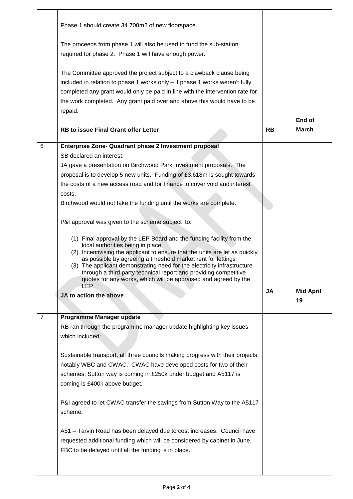|                | Phase 1 should create 34 700m2 of new floorspace.<br>The proceeds from phase 1 will also be used to fund the sub-station<br>required for phase 2. Phase 1 will have enough power.<br>The Committee approved the project subject to a clawback clause being<br>included in relation to phase 1 works only - if phase 1 works weren't fully<br>completed any grant would only be paid in line with the intervention rate for<br>the work completed. Any grant paid over and above this would have to be<br>repaid.                                                                                                                                                                                                                                                                                                                                                                                                                                                     |           |                        |
|----------------|----------------------------------------------------------------------------------------------------------------------------------------------------------------------------------------------------------------------------------------------------------------------------------------------------------------------------------------------------------------------------------------------------------------------------------------------------------------------------------------------------------------------------------------------------------------------------------------------------------------------------------------------------------------------------------------------------------------------------------------------------------------------------------------------------------------------------------------------------------------------------------------------------------------------------------------------------------------------|-----------|------------------------|
|                | <b>RB to issue Final Grant offer Letter</b>                                                                                                                                                                                                                                                                                                                                                                                                                                                                                                                                                                                                                                                                                                                                                                                                                                                                                                                          | <b>RB</b> | End of<br><b>March</b> |
| 6              | Enterprise Zone- Quadrant phase 2 Investment proposal<br>SB declared an interest.<br>JA gave a presentation on Birchwood Park Investment proposals. The<br>proposal is to develop 5 new units. Funding of £3.618m is sought towards<br>the costs of a new access road and for finance to cover void and interest<br>costs.<br>Birchwood would not take the funding until the works are complete.<br>P&I approval was given to the scheme subject to:<br>(1) Final approval by the LEP Board and the funding facility from the<br>local authorities being in place<br>(2) Incentivising the applicant to ensure that the units are let as quickly<br>as possible by agreeing a threshold market rent for lettings<br>(3) The applicant demonstrating need for the electricity infrastructure<br>through a third party technical report and providing competitive<br>quotes for any works, which will be appraised and agreed by the<br>I FP<br>JA to action the above | JA        | <b>Mid April</b><br>19 |
| $\overline{7}$ | Programme Manager update<br>RB ran through the programme manager update highlighting key issues<br>which included:<br>Sustainable transport, all three councils making progress with their projects,<br>notably WBC and CWAC. CWAC have developed costs for two of their<br>schemes; Sutton way is coming in £250k under budget and A5117 is<br>coming is £400k above budget.<br>P&I agreed to let CWAC transfer the savings from Sutton Way to the A5117<br>scheme.<br>A51 - Tarvin Road has been delayed due to cost increases. Council have<br>requested additional funding which will be considered by cabinet in June.<br>FBC to be delayed until all the funding is in place.                                                                                                                                                                                                                                                                                  |           |                        |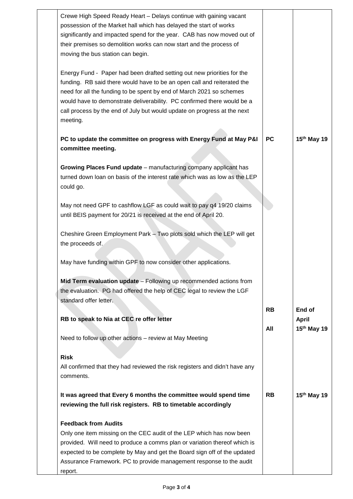| Crewe High Speed Ready Heart - Delays continue with gaining vacant<br>possession of the Market hall which has delayed the start of works<br>significantly and impacted spend for the year. CAB has now moved out of<br>their premises so demolition works can now start and the process of<br>moving the bus station can begin.                                                               |           |                         |
|-----------------------------------------------------------------------------------------------------------------------------------------------------------------------------------------------------------------------------------------------------------------------------------------------------------------------------------------------------------------------------------------------|-----------|-------------------------|
| Energy Fund - Paper had been drafted setting out new priorities for the<br>funding. RB said there would have to be an open call and reiterated the<br>need for all the funding to be spent by end of March 2021 so schemes<br>would have to demonstrate deliverability. PC confirmed there would be a<br>call process by the end of July but would update on progress at the next<br>meeting. |           |                         |
| PC to update the committee on progress with Energy Fund at May P&I<br>committee meeting.                                                                                                                                                                                                                                                                                                      | <b>PC</b> | 15 <sup>th</sup> May 19 |
| Growing Places Fund update - manufacturing company applicant has<br>turned down loan on basis of the interest rate which was as low as the LEP<br>could go.                                                                                                                                                                                                                                   |           |                         |
| May not need GPF to cashflow LGF as could wait to pay q4 19/20 claims<br>until BEIS payment for 20/21 is received at the end of April 20.                                                                                                                                                                                                                                                     |           |                         |
| Cheshire Green Employment Park - Two plots sold which the LEP will get<br>the proceeds of.                                                                                                                                                                                                                                                                                                    |           |                         |
| May have funding within GPF to now consider other applications.                                                                                                                                                                                                                                                                                                                               |           |                         |
| Mid Term evaluation update - Following up recommended actions from<br>the evaluation. PG had offered the help of CEC legal to review the LGF<br>standard offer letter.                                                                                                                                                                                                                        |           |                         |
| RB to speak to Nia at CEC re offer letter                                                                                                                                                                                                                                                                                                                                                     | <b>RB</b> | End of<br><b>April</b>  |
| Need to follow up other actions - review at May Meeting                                                                                                                                                                                                                                                                                                                                       | All       | 15 <sup>th</sup> May 19 |
| <b>Risk</b><br>All confirmed that they had reviewed the risk registers and didn't have any<br>comments.                                                                                                                                                                                                                                                                                       |           |                         |
| It was agreed that Every 6 months the committee would spend time<br>reviewing the full risk registers. RB to timetable accordingly                                                                                                                                                                                                                                                            | <b>RB</b> | $15th$ May 19           |
| <b>Feedback from Audits</b><br>Only one item missing on the CEC audit of the LEP which has now been<br>provided. Will need to produce a comms plan or variation thereof which is<br>expected to be complete by May and get the Board sign off of the updated<br>Assurance Framework. PC to provide management response to the audit<br>report.                                                |           |                         |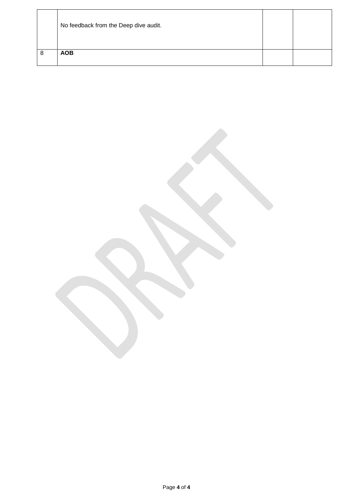|   | No feedback from the Deep dive audit. |  |
|---|---------------------------------------|--|
| 8 | <b>AOB</b>                            |  |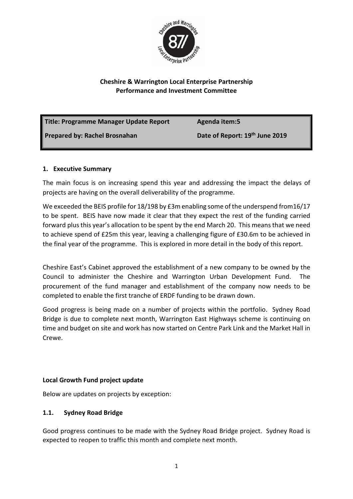

## **Cheshire & Warrington Local Enterprise Partnership Performance and Investment Committee**

| Title: Programme Manager Update Report | Agenda item:5                  |
|----------------------------------------|--------------------------------|
| <b>Prepared by: Rachel Brosnahan</b>   | Date of Report: 19th June 2019 |

### **1. Executive Summary**

The main focus is on increasing spend this year and addressing the impact the delays of projects are having on the overall deliverability of the programme.

We exceeded the BEIS profile for 18/198 by £3m enabling some of the underspend from16/17 to be spent. BEIS have now made it clear that they expect the rest of the funding carried forward plus this year's allocation to be spent by the end March 20. This means that we need to achieve spend of £25m this year, leaving a challenging figure of £30.6m to be achieved in the final year of the programme. This is explored in more detail in the body of this report.

Cheshire East's Cabinet approved the establishment of a new company to be owned by the Council to administer the Cheshire and Warrington Urban Development Fund. The procurement of the fund manager and establishment of the company now needs to be completed to enable the first tranche of ERDF funding to be drawn down.

Good progress is being made on a number of projects within the portfolio. Sydney Road Bridge is due to complete next month, Warrington East Highways scheme is continuing on time and budget on site and work has now started on Centre Park Link and the Market Hall in Crewe.

## **Local Growth Fund project update**

Below are updates on projects by exception:

## **1.1. Sydney Road Bridge**

Good progress continues to be made with the Sydney Road Bridge project. Sydney Road is expected to reopen to traffic this month and complete next month.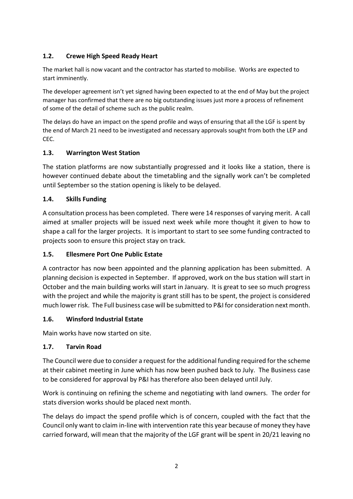## **1.2. Crewe High Speed Ready Heart**

The market hall is now vacant and the contractor has started to mobilise. Works are expected to start imminently.

The developer agreement isn't yet signed having been expected to at the end of May but the project manager has confirmed that there are no big outstanding issues just more a process of refinement of some of the detail of scheme such as the public realm.

The delays do have an impact on the spend profile and ways of ensuring that all the LGF is spent by the end of March 21 need to be investigated and necessary approvals sought from both the LEP and CEC.

## **1.3. Warrington West Station**

The station platforms are now substantially progressed and it looks like a station, there is however continued debate about the timetabling and the signally work can't be completed until September so the station opening is likely to be delayed.

## **1.4. Skills Funding**

A consultation process has been completed. There were 14 responses of varying merit. A call aimed at smaller projects will be issued next week while more thought it given to how to shape a call for the larger projects. It is important to start to see some funding contracted to projects soon to ensure this project stay on track.

## **1.5. Ellesmere Port One Public Estate**

A contractor has now been appointed and the planning application has been submitted. A planning decision is expected in September. If approved, work on the bus station will start in October and the main building works will start in January. It is great to see so much progress with the project and while the majority is grant still has to be spent, the project is considered much lower risk. The Full business case will be submitted to P&I for consideration next month.

## **1.6. Winsford Industrial Estate**

Main works have now started on site.

## **1.7. Tarvin Road**

The Council were due to consider a request for the additional funding required for the scheme at their cabinet meeting in June which has now been pushed back to July. The Business case to be considered for approval by P&I has therefore also been delayed until July.

Work is continuing on refining the scheme and negotiating with land owners. The order for stats diversion works should be placed next month.

The delays do impact the spend profile which is of concern, coupled with the fact that the Council only want to claim in-line with intervention rate this year because of money they have carried forward, will mean that the majority of the LGF grant will be spent in 20/21 leaving no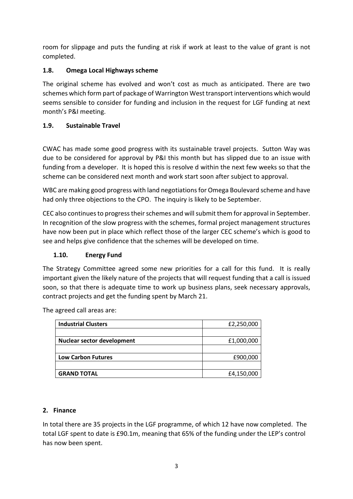room for slippage and puts the funding at risk if work at least to the value of grant is not completed.

## **1.8. Omega Local Highways scheme**

The original scheme has evolved and won't cost as much as anticipated. There are two schemes which form part of package of Warrington West transport interventions which would seems sensible to consider for funding and inclusion in the request for LGF funding at next month's P&I meeting.

## **1.9. Sustainable Travel**

CWAC has made some good progress with its sustainable travel projects. Sutton Way was due to be considered for approval by P&I this month but has slipped due to an issue with funding from a developer. It is hoped this is resolve d within the next few weeks so that the scheme can be considered next month and work start soon after subject to approval.

WBC are making good progress with land negotiations for Omega Boulevard scheme and have had only three objections to the CPO. The inquiry is likely to be September.

CEC also continues to progress their schemes and will submit them for approval in September. In recognition of the slow progress with the schemes, formal project management structures have now been put in place which reflect those of the larger CEC scheme's which is good to see and helps give confidence that the schemes will be developed on time.

## **1.10. Energy Fund**

The Strategy Committee agreed some new priorities for a call for this fund. It is really important given the likely nature of the projects that will request funding that a call is issued soon, so that there is adequate time to work up business plans, seek necessary approvals, contract projects and get the funding spent by March 21.

| <b>Industrial Clusters</b>        | £2,250,000 |
|-----------------------------------|------------|
|                                   |            |
| <b>Nuclear sector development</b> | £1,000,000 |
|                                   |            |
| <b>Low Carbon Futures</b>         | £900,000   |
|                                   |            |
| <b>GRAND TOTAL</b>                | £4,150,000 |

The agreed call areas are:

## **2. Finance**

In total there are 35 projects in the LGF programme, of which 12 have now completed. The total LGF spent to date is £90.1m, meaning that 65% of the funding under the LEP's control has now been spent.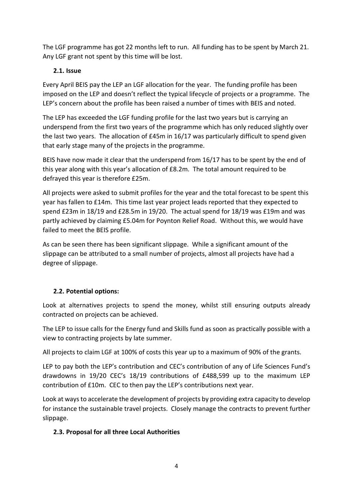The LGF programme has got 22 months left to run. All funding has to be spent by March 21. Any LGF grant not spent by this time will be lost.

## **2.1. Issue**

Every April BEIS pay the LEP an LGF allocation for the year. The funding profile has been imposed on the LEP and doesn't reflect the typical lifecycle of projects or a programme. The LEP's concern about the profile has been raised a number of times with BEIS and noted.

The LEP has exceeded the LGF funding profile for the last two years but is carrying an underspend from the first two years of the programme which has only reduced slightly over the last two years. The allocation of £45m in 16/17 was particularly difficult to spend given that early stage many of the projects in the programme.

BEIS have now made it clear that the underspend from 16/17 has to be spent by the end of this year along with this year's allocation of £8.2m. The total amount required to be defrayed this year is therefore £25m.

All projects were asked to submit profiles for the year and the total forecast to be spent this year has fallen to £14m. This time last year project leads reported that they expected to spend £23m in 18/19 and £28.5m in 19/20. The actual spend for 18/19 was £19m and was partly achieved by claiming £5.04m for Poynton Relief Road. Without this, we would have failed to meet the BEIS profile.

As can be seen there has been significant slippage. While a significant amount of the slippage can be attributed to a small number of projects, almost all projects have had a degree of slippage.

## **2.2. Potential options:**

Look at alternatives projects to spend the money, whilst still ensuring outputs already contracted on projects can be achieved.

The LEP to issue calls for the Energy fund and Skills fund as soon as practically possible with a view to contracting projects by late summer.

All projects to claim LGF at 100% of costs this year up to a maximum of 90% of the grants.

LEP to pay both the LEP's contribution and CEC's contribution of any of Life Sciences Fund's drawdowns in 19/20 CEC's 18/19 contributions of £488,599 up to the maximum LEP contribution of £10m. CEC to then pay the LEP's contributions next year.

Look at ways to accelerate the development of projects by providing extra capacity to develop for instance the sustainable travel projects. Closely manage the contracts to prevent further slippage.

## **2.3. Proposal for all three Local Authorities**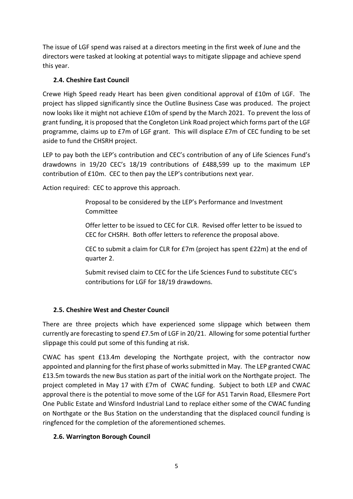The issue of LGF spend was raised at a directors meeting in the first week of June and the directors were tasked at looking at potential ways to mitigate slippage and achieve spend this year.

## **2.4. Cheshire East Council**

Crewe High Speed ready Heart has been given conditional approval of £10m of LGF. The project has slipped significantly since the Outline Business Case was produced. The project now looks like it might not achieve £10m of spend by the March 2021. To prevent the loss of grant funding, it is proposed that the Congleton Link Road project which forms part of the LGF programme, claims up to £7m of LGF grant. This will displace £7m of CEC funding to be set aside to fund the CHSRH project.

LEP to pay both the LEP's contribution and CEC's contribution of any of Life Sciences Fund's drawdowns in 19/20 CEC's 18/19 contributions of £488,599 up to the maximum LEP contribution of £10m. CEC to then pay the LEP's contributions next year.

Action required: CEC to approve this approach.

Proposal to be considered by the LEP's Performance and Investment Committee

Offer letter to be issued to CEC for CLR. Revised offer letter to be issued to CEC for CHSRH. Both offer letters to reference the proposal above.

CEC to submit a claim for CLR for £7m (project has spent £22m) at the end of quarter 2.

Submit revised claim to CEC for the Life Sciences Fund to substitute CEC's contributions for LGF for 18/19 drawdowns.

## **2.5. Cheshire West and Chester Council**

There are three projects which have experienced some slippage which between them currently are forecasting to spend £7.5m of LGF in 20/21. Allowing for some potential further slippage this could put some of this funding at risk.

CWAC has spent £13.4m developing the Northgate project, with the contractor now appointed and planning for the first phase of works submitted in May. The LEP granted CWAC £13.5m towards the new Bus station as part of the initial work on the Northgate project. The project completed in May 17 with £7m of CWAC funding. Subject to both LEP and CWAC approval there is the potential to move some of the LGF for A51 Tarvin Road, Ellesmere Port One Public Estate and Winsford Industrial Land to replace either some of the CWAC funding on Northgate or the Bus Station on the understanding that the displaced council funding is ringfenced for the completion of the aforementioned schemes.

## **2.6. Warrington Borough Council**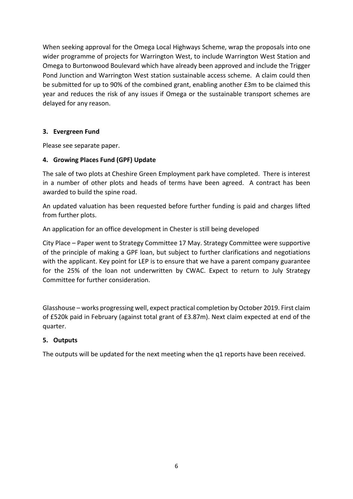When seeking approval for the Omega Local Highways Scheme, wrap the proposals into one wider programme of projects for Warrington West, to include Warrington West Station and Omega to Burtonwood Boulevard which have already been approved and include the Trigger Pond Junction and Warrington West station sustainable access scheme. A claim could then be submitted for up to 90% of the combined grant, enabling another £3m to be claimed this year and reduces the risk of any issues if Omega or the sustainable transport schemes are delayed for any reason.

### **3. Evergreen Fund**

Please see separate paper.

### **4. Growing Places Fund (GPF) Update**

The sale of two plots at Cheshire Green Employment park have completed. There is interest in a number of other plots and heads of terms have been agreed. A contract has been awarded to build the spine road.

An updated valuation has been requested before further funding is paid and charges lifted from further plots.

An application for an office development in Chester is still being developed

City Place – Paper went to Strategy Committee 17 May. Strategy Committee were supportive of the principle of making a GPF loan, but subject to further clarifications and negotiations with the applicant. Key point for LEP is to ensure that we have a parent company guarantee for the 25% of the loan not underwritten by CWAC. Expect to return to July Strategy Committee for further consideration.

Glasshouse – works progressing well, expect practical completion by October 2019. First claim of £520k paid in February (against total grant of £3.87m). Next claim expected at end of the quarter.

### **5. Outputs**

The outputs will be updated for the next meeting when the q1 reports have been received.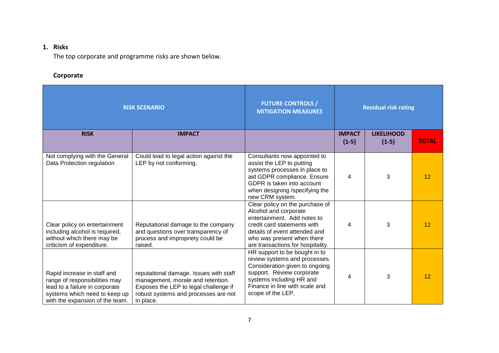## **1. Risks**

The top corporate and programme risks are shown below.

## **Corporate**

| <b>RISK SCENARIO</b>                                                                                                                                               |                                                                                                                                                                           | <b>FUTURE CONTROLS /</b><br><b>MITIGATION MEASURES</b>                                                                                                                                                                     | <b>Residual risk rating</b> |                              |              |
|--------------------------------------------------------------------------------------------------------------------------------------------------------------------|---------------------------------------------------------------------------------------------------------------------------------------------------------------------------|----------------------------------------------------------------------------------------------------------------------------------------------------------------------------------------------------------------------------|-----------------------------|------------------------------|--------------|
| <b>RISK</b>                                                                                                                                                        | <b>IMPACT</b>                                                                                                                                                             |                                                                                                                                                                                                                            | <b>IMPACT</b><br>${1-5}$    | <b>LIKELIHOOD</b><br>${1-5}$ | <b>TOTAL</b> |
| Not complying with the General<br>Data Protection regulation                                                                                                       | Could lead to legal action against the<br>LEP by not conforming.                                                                                                          | Consultants now appointed to<br>assist the LEP to putting<br>systems processes in place to<br>aid GDPR compliance. Ensure<br>GDPR is taken into account<br>when designing /specifying the<br>new CRM system.               | 4                           | 3                            | 12           |
| Clear policy on entertainment<br>including alcohol is required,<br>without which there may be<br>criticism of expenditure.                                         | Reputational damage to the company<br>and questions over transparency of<br>process and impropriety could be<br>raised.                                                   | Clear policy on the purchase of<br>Alcohol and corporate<br>entertainment. Add notes to<br>credit card statements with<br>details of event attended and<br>who was present when there<br>are transactions for hospitality. | 4                           | 3                            | 12           |
| Rapid increase in staff and<br>range of responsibilities may<br>lead to a failure in corporate<br>systems which need to keep up<br>with the expansion of the team. | reputational damage. Issues with staff<br>management, morale and retention.<br>Exposes the LEP to legal challenge if<br>robust systems and processes are not<br>in place. | HR support to be bought in to<br>review systems and processes.<br>Consideration given to ongoing<br>support. Review corporate<br>systems including HR and<br>Finance in line with scale and<br>scope of the LEP.           | 4                           | 3                            | 12           |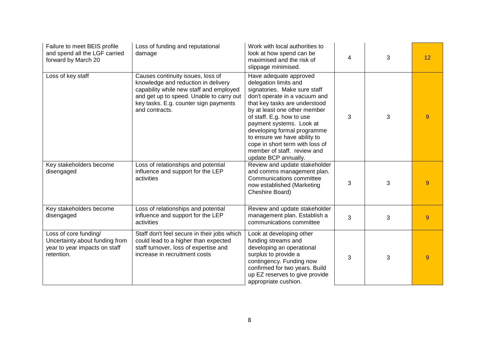| Failure to meet BEIS profile<br>and spend all the LGF carried<br>forward by March 20                   | Loss of funding and reputational<br>damage                                                                                                                                                                                 | Work with local authorities to<br>look at how spend can be<br>maximised and the risk of<br>slippage minimised.                                                                                                                                                                                                                                                                                      | 4 | 3 | 12 |
|--------------------------------------------------------------------------------------------------------|----------------------------------------------------------------------------------------------------------------------------------------------------------------------------------------------------------------------------|-----------------------------------------------------------------------------------------------------------------------------------------------------------------------------------------------------------------------------------------------------------------------------------------------------------------------------------------------------------------------------------------------------|---|---|----|
| Loss of key staff                                                                                      | Causes continuity issues, loss of<br>knowledge and reduction in delivery<br>capability while new staff and employed<br>and get up to speed. Unable to carry out<br>key tasks. E.g. counter sign payments<br>and contracts. | Have adequate approved<br>delegation limits and<br>signatories. Make sure staff<br>don't operate in a vacuum and<br>that key tasks are understood<br>by at least one other member<br>of staff. E.g. how to use<br>payment systems. Look at<br>developing formal programme<br>to ensure we have ability to<br>cope in short term with loss of<br>member of staff. review and<br>update BCP annually. | 3 | 3 | 9  |
| Key stakeholders become<br>disengaged                                                                  | Loss of relationships and potential<br>influence and support for the LEP<br>activities                                                                                                                                     | Review and update stakeholder<br>and comms management plan.<br>Communications committee<br>now established (Marketing<br>Cheshire Board)                                                                                                                                                                                                                                                            | 3 | 3 | 9  |
| Key stakeholders become<br>disengaged                                                                  | Loss of relationships and potential<br>influence and support for the LEP<br>activities                                                                                                                                     | Review and update stakeholder<br>management plan. Establish a<br>communications committee                                                                                                                                                                                                                                                                                                           | 3 | 3 | 9  |
| Loss of core funding/<br>Uncertainty about funding from<br>year to year impacts on staff<br>retention. | Staff don't feel secure in their jobs which<br>could lead to a higher than expected<br>staff turnover, loss of expertise and<br>increase in recruitment costs                                                              | Look at developing other<br>funding streams and<br>developing an operational<br>surplus to provide a<br>contingency. Funding now<br>confirmed for two years. Build<br>up EZ reserves to give provide<br>appropriate cushion.                                                                                                                                                                        | 3 | 3 | 9  |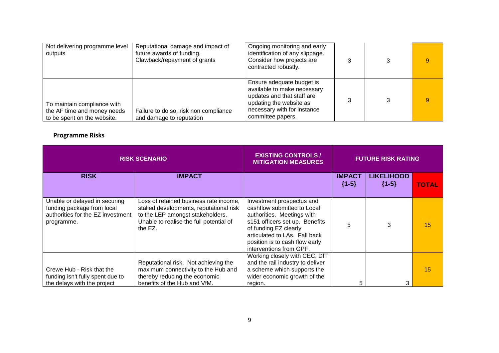| Not delivering programme level<br>outputs                                                 | Reputational damage and impact of<br>future awards of funding.<br>Clawback/repayment of grants | Ongoing monitoring and early<br>identification of any slippage.<br>Consider how projects are<br>contracted robustly.                                                  |  | 9 |
|-------------------------------------------------------------------------------------------|------------------------------------------------------------------------------------------------|-----------------------------------------------------------------------------------------------------------------------------------------------------------------------|--|---|
| To maintain compliance with<br>the AF time and money needs<br>to be spent on the website. | Failure to do so, risk non compliance<br>and damage to reputation                              | Ensure adequate budget is<br>available to make necessary<br>updates and that staff are<br>updating the website as<br>necessary with for instance<br>committee papers. |  | 9 |

## **Programme Risks**

| <b>RISK SCENARIO</b>                                                                                           |                                                                                                                                                                             | <b>EXISTING CONTROLS /</b><br><b>MITIGATION MEASURES</b>                                                                                                                                                                                        | <b>FUTURE RISK RATING</b> |                              |              |
|----------------------------------------------------------------------------------------------------------------|-----------------------------------------------------------------------------------------------------------------------------------------------------------------------------|-------------------------------------------------------------------------------------------------------------------------------------------------------------------------------------------------------------------------------------------------|---------------------------|------------------------------|--------------|
| <b>RISK</b>                                                                                                    | <b>IMPACT</b>                                                                                                                                                               |                                                                                                                                                                                                                                                 | <b>IMPACT</b><br>${1-5}$  | <b>LIKELIHOOD</b><br>${1-5}$ | <b>TOTAL</b> |
| Unable or delayed in securing<br>funding package from local<br>authorities for the EZ investment<br>programme. | Loss of retained business rate income,<br>stalled developments, reputational risk<br>to the LEP amongst stakeholders.<br>Unable to realise the full potential of<br>the EZ. | Investment prospectus and<br>cashflow submitted to Local<br>authorities. Meetings with<br>s151 officers set up. Benefits<br>of funding EZ clearly<br>articulated to LAs. Fall back<br>position is to cash flow early<br>interventions from GPF. | 5                         | 3                            | 15           |
| Crewe Hub - Risk that the<br>funding isn't fully spent due to<br>the delays with the project                   | Reputational risk. Not achieving the<br>maximum connectivity to the Hub and<br>thereby reducing the economic<br>benefits of the Hub and VfM.                                | Working closely with CEC, DfT<br>and the rail industry to deliver<br>a scheme which supports the<br>wider economic growth of the<br>region.                                                                                                     | 5                         | 3                            | 15           |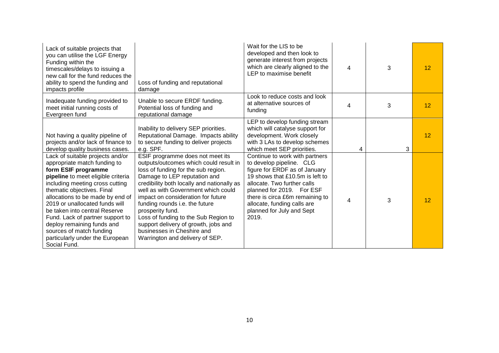| Lack of suitable projects that<br>you can utilise the LGF Energy<br>Funding within the<br>timescales/delays to issuing a<br>new call for the fund reduces the<br>ability to spend the funding and<br>impacts profile                                                                                                                                                                                                                                   | Loss of funding and reputational<br>damage                                                                                                                                                                                                                                                                                                                                                                                                                                          | Wait for the LIS to be<br>developed and then look to<br>generate interest from projects<br>which are clearly aligned to the<br>LEP to maximise benefit                                                                                                                                             | 4 | 3 | $12 \overline{ }$ |
|--------------------------------------------------------------------------------------------------------------------------------------------------------------------------------------------------------------------------------------------------------------------------------------------------------------------------------------------------------------------------------------------------------------------------------------------------------|-------------------------------------------------------------------------------------------------------------------------------------------------------------------------------------------------------------------------------------------------------------------------------------------------------------------------------------------------------------------------------------------------------------------------------------------------------------------------------------|----------------------------------------------------------------------------------------------------------------------------------------------------------------------------------------------------------------------------------------------------------------------------------------------------|---|---|-------------------|
| Inadequate funding provided to<br>meet initial running costs of<br>Evergreen fund                                                                                                                                                                                                                                                                                                                                                                      | Unable to secure ERDF funding.<br>Potential loss of funding and<br>reputational damage                                                                                                                                                                                                                                                                                                                                                                                              | Look to reduce costs and look<br>at alternative sources of<br>funding                                                                                                                                                                                                                              | 4 | 3 | 12                |
| Not having a quality pipeline of<br>projects and/or lack of finance to<br>develop quality business cases.                                                                                                                                                                                                                                                                                                                                              | Inability to delivery SEP priorities.<br>Reputational Damage. Impacts ability<br>to secure funding to deliver projects<br>e.g. SPF.                                                                                                                                                                                                                                                                                                                                                 | LEP to develop funding stream<br>which will catalyse support for<br>development. Work closely<br>with 3 LAs to develop schemes<br>which meet SEP priorities.                                                                                                                                       | 4 | 3 | 12                |
| Lack of suitable projects and/or<br>appropriate match funding to<br>form ESIF programme<br>pipeline to meet eligible criteria<br>including meeting cross cutting<br>thematic objectives. Final<br>allocations to be made by end of<br>2019 or unallocated funds will<br>be taken into central Reserve<br>Fund. Lack of partner support to<br>deploy remaining funds and<br>sources of match funding<br>particularly under the European<br>Social Fund. | ESIF programme does not meet its<br>outputs/outcomes which could result in<br>loss of funding for the sub region.<br>Damage to LEP reputation and<br>credibility both locally and nationally as<br>well as with Government which could<br>impact on consideration for future<br>funding rounds i.e. the future<br>prosperity fund.<br>Loss of funding to the Sub Region to<br>support delivery of growth, jobs and<br>businesses in Cheshire and<br>Warrington and delivery of SEP. | Continue to work with partners<br>to develop pipeline. CLG<br>figure for ERDF as of January<br>19 shows that £10.5m is left to<br>allocate. Two further calls<br>planned for 2019. For ESF<br>there is circa £6m remaining to<br>allocate, funding calls are<br>planned for July and Sept<br>2019. | 4 | 3 | 12                |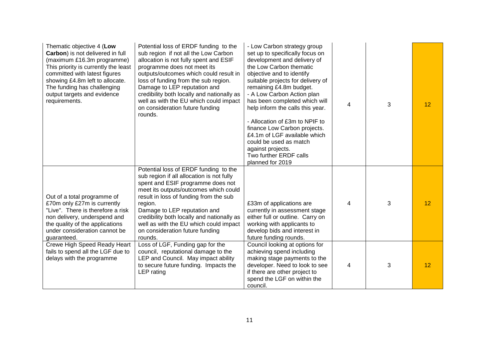| Thematic objective 4 (Low<br>Carbon) is not delivered in full<br>(maximum £16.3m programme)<br>This priority is currently the least<br>committed with latest figures<br>showing £4.8m left to allocate.<br>The funding has challenging<br>output targets and evidence<br>requirements. | Potential loss of ERDF funding to the<br>sub region if not all the Low Carbon<br>allocation is not fully spent and ESIF<br>programme does not meet its<br>outputs/outcomes which could result in<br>loss of funding from the sub region.<br>Damage to LEP reputation and<br>credibility both locally and nationally as<br>well as with the EU which could impact<br>on consideration future funding<br>rounds. | - Low Carbon strategy group<br>set up to specifically focus on<br>development and delivery of<br>the Low Carbon thematic<br>objective and to identify<br>suitable projects for delivery of<br>remaining £4.8m budget.<br>- A Low Carbon Action plan<br>has been completed which will<br>help inform the calls this year.<br>- Allocation of £3m to NPIF to<br>finance Low Carbon projects.<br>£4.1m of LGF available which<br>could be used as match<br>against projects.<br>Two further ERDF calls<br>planned for 2019 | 4 | 3 | 12 |
|----------------------------------------------------------------------------------------------------------------------------------------------------------------------------------------------------------------------------------------------------------------------------------------|----------------------------------------------------------------------------------------------------------------------------------------------------------------------------------------------------------------------------------------------------------------------------------------------------------------------------------------------------------------------------------------------------------------|-------------------------------------------------------------------------------------------------------------------------------------------------------------------------------------------------------------------------------------------------------------------------------------------------------------------------------------------------------------------------------------------------------------------------------------------------------------------------------------------------------------------------|---|---|----|
| Out of a total programme of<br>£70m only £27m is currently<br>"Live". There is therefore a risk<br>non delivery, underspend and<br>the quality of the applications<br>under consideration cannot be<br>guaranteed.                                                                     | Potential loss of ERDF funding to the<br>sub region if all allocation is not fully<br>spent and ESIF programme does not<br>meet its outputs/outcomes which could<br>result in loss of funding from the sub<br>region.<br>Damage to LEP reputation and<br>credibility both locally and nationally as<br>well as with the EU which could impact<br>on consideration future funding<br>rounds.                    | £33m of applications are<br>currently in assessment stage<br>either full or outline. Carry on<br>working with applicants to<br>develop bids and interest in<br>future funding rounds.                                                                                                                                                                                                                                                                                                                                   | 4 | 3 | 12 |
| Crewe High Speed Ready Heart<br>fails to spend all the LGF due to<br>delays with the programme                                                                                                                                                                                         | Loss of LGF, Funding gap for the<br>council, reputational damage to the<br>LEP and Council. May impact ability<br>to secure future funding. Impacts the<br>LEP rating                                                                                                                                                                                                                                          | Council looking at options for<br>achieving spend including<br>making stage payments to the<br>developer. Need to look to see<br>if there are other project to<br>spend the LGF on within the<br>council.                                                                                                                                                                                                                                                                                                               | 4 | 3 | 12 |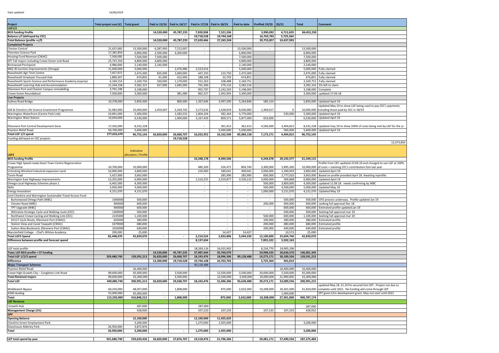| Date updated:                                                           | 14/06/2019                           |                        |                          |                               |                          |                             |                        |                          |                          |                            |                                                                                              |
|-------------------------------------------------------------------------|--------------------------------------|------------------------|--------------------------|-------------------------------|--------------------------|-----------------------------|------------------------|--------------------------|--------------------------|----------------------------|----------------------------------------------------------------------------------------------|
| Project                                                                 | Total project cost $(f)$ Total grant |                        |                          | Paid in 15/16   Paid in 16/17 |                          | Paid in 17/18 Paid in 18/19 | Paid to date           | Profiled 19/20           | 20/21                    | <b>Total</b>               | <b>Comment</b>                                                                               |
| <b>LGF1/2</b>                                                           |                                      |                        |                          |                               |                          |                             |                        |                          |                          |                            |                                                                                              |
| <b>BEIS funding Profile</b>                                             |                                      |                        | 14,520,000               | 45,787,235                    | 7,920,938                | 7,521,336                   |                        | 3,990,092                | 4,712,629                | 84,452,230                 |                                                                                              |
| <b>Balance c/f (defrayed by CEC)</b>                                    |                                      |                        |                          |                               | 19,718,528               | 19,744,168                  |                        | 16,763,765               | 5,725,364                |                            |                                                                                              |
| Total Balance (profile +c/f)                                            |                                      |                        | 14,520,000               | 45,787,235                    | 27,639,466               | 27,265,504                  |                        | 20,753,857               | 10,437,993               |                            |                                                                                              |
| <b>Completed Projects</b><br><b>Chester Central</b>                     | 21,637,682                           | 13,500,000             | 6,287,993                | 7,212,007                     | $\sim$                   | $\sim$                      | 13,500,000             | $\sim$                   |                          | 13,500,000                 |                                                                                              |
| Thornton Science Park                                                   | 17,382,850                           | 6,800,000              | 2,500,000                | 4,300,000                     |                          |                             | 6,800,000              |                          |                          | 6,800,000                  |                                                                                              |
| Housing Fund Revenue (CWAC)                                             | 7,500,000                            | 7,500,000              | 7,500,000                |                               |                          |                             | 7,500,000              |                          |                          | 7,500,000                  |                                                                                              |
| DfT Tail majors including Crewe Green Link Road                         | 25,747,350                           | 4,800,000              | 4,800,000                |                               |                          |                             | 4,800,000              |                          |                          | 4,800,000                  |                                                                                              |
| <b>Birchwood Pinchpoint</b>                                             | 4,986,000                            | 2,140,000              | 2,140,000                |                               |                          |                             | 2,140,000              |                          |                          | 2,140,000                  |                                                                                              |
| M62 J8 Junction Improvements (Omega)                                    | 11,690,000                           | 5,000,000              |                          | 2,476,986                     | 2,523,014                | $\sim$                      | 5,000,000              |                          |                          | 5,000,000                  | Fully claimed                                                                                |
| Reaseheath Agri Tech Centre                                             | 7,457,972                            | 2,475,000              | 835,000                  | 1,069,000                     | 447,250                  | 123,750                     | 2,475,000              |                          |                          |                            | 2,475,000   Fully claimed                                                                    |
| Reaseheath Employer Focused Hub                                         | 1,889,307                            | 674,850                | 41,000                   | 412,000                       | 188,108                  | 33,743                      | 674,851                |                          |                          |                            | 674,851 Fully claimed                                                                        |
| Reaseheath Sports Science and Performance Academy (osprey)              | 6,169,154                            | 2,169,750              | 330,000                  | 1,179,000                     | 552,263                  | 108,488                     | 2,169,751              |                          |                          |                            | 2,169,751   Fully claimed                                                                    |
| Reaseheath Learning Hub and Accommodation                               | 11,244,158                           | 3,582,315              | 927,000                  | 1,685,000                     | 791,200                  | 179,116                     | 3,582,316              |                          |                          |                            | 3,582,316 5% left to claim                                                                   |
| Ellesmere Port and Chester Campus remodelling<br>Crewe Green Roundabout | 3,791,198<br>7,500,000               | 3,198,000<br>3,300,000 |                          | $\sim$<br>381,480             | 955,797<br>962,527       | 2,242,203<br>1,955,993      | 3,198,000<br>3,300,000 |                          |                          |                            | 3,198,000 Complete<br>3,300,000 updated 17.04.18                                             |
| <b>Live Projects</b>                                                    |                                      |                        |                          |                               |                          |                             |                        |                          |                          |                            |                                                                                              |
| Sydney Road Bridge                                                      | 10,378,000                           | 5,850,000              |                          | 800,000                       | 1,367,646                | 3,097,200                   | 5,264,846              | 585,154                  |                          |                            | 5,850,000   Updated April 19                                                                 |
|                                                                         |                                      |                        |                          |                               |                          |                             |                        |                          |                          |                            | Updated May 19 to show LGF being used to pay CEC's payments                                  |
| GM & Cheshire Life Science Investment Programme                         | 31,982,000                           | 10,000,000             | 1,459,007                | 2,269,702                     | 3,273,616                | 1,628,659                   | 8,630,983              | 1,369,017                | $\Omega$                 |                            | 10,000,000 lincluding those paid by CEC in 18/19                                             |
| Warrington Waterfront (Centre Park Link)                                | 19,891,000                           | 5,300,000              |                          | 2,383,532                     | 1,804,104                | 582,364                     | 4,770,000              |                          | 530,000                  |                            | 5,300,000 Updated April 19                                                                   |
| <b>Warrington West Station</b>                                          | 19,694,000                           | 6,530,000              |                          | 1,900,000                     | 3,167,429                | 809,571                     | 5,877,000              | 653,000                  |                          |                            | 6,530,000   Updated April 19                                                                 |
|                                                                         |                                      |                        |                          |                               |                          |                             |                        |                          |                          |                            |                                                                                              |
| Ellesmere Port Central Development Zone                                 | 17,392,000                           | 8,332,228              |                          |                               |                          | 361,413                     | 361,413                | 4,566,000                | 3,404,815                |                            | 8,332,228 Updated may 19 to show 100% of costs being met by LGF for the yr                   |
| Poynton Relief Road                                                     | 50,700,000                           | 5,600,000              |                          | $\sim$                        | $\sim$                   | 5,040,000                   | 5,040,000              |                          | 560,000                  |                            | 5,600,000 Updated April 19                                                                   |
| Total LGF 1/2 spend                                                     | 277,032,670                          | 96,752,143             | 26,820,000               | 26,068,707                    | 16,032,952               | 16,162,500                  | 85,084,158             | 7,173,171                | 4,494,815                | 96,752,145                 |                                                                                              |
| Funding defrayed on CEC projects                                        |                                      |                        | $\overline{\phantom{a}}$ | 19,718,528                    |                          |                             |                        |                          |                          |                            |                                                                                              |
|                                                                         |                                      |                        |                          |                               |                          |                             |                        |                          |                          |                            | 12,073,850                                                                                   |
|                                                                         |                                      | Indicative             |                          |                               |                          |                             |                        |                          |                          |                            |                                                                                              |
| LGF3                                                                    |                                      | allocation / Profile   |                          |                               |                          |                             |                        |                          |                          |                            |                                                                                              |
| <b>BEIS funding Profile</b>                                             |                                      |                        |                          |                               | 10,348,178               | 8,494,566                   |                        | 4,244,678                | 20,192,577               | 61,549,115                 |                                                                                              |
| Crewe High Speed-ready Heart Town Centre Regeneration                   |                                      |                        |                          |                               |                          |                             |                        |                          |                          |                            | Profile from CEC updated 23.04.19 and changed to use LGF at 100%                             |
| Programme                                                               | 24,700,000                           | 10,000,000             |                          |                               | 480,269                  | 324,471                     | 804,740                | 3,300,000                | 5,895,260                |                            | 10,000,000 of costs + claiming CEC's contribution fom last year                              |
| Unlocking Winsford Industrial expansion Land                            | 10,900,000                           | 3,800,000              | $\sim$                   | $\sim$                        | 220,000                  | 189,041                     | 409,041                | 2,000,000                | 1,390,959                |                            | 3,800,000 Updated April 19                                                                   |
| <b>Tarvin Road</b>                                                      | 5,427,000                            | 3,663,000              |                          |                               | $\sim$                   | 285,990                     | 285,990                | 600,000                  | 2,777,010                |                            | 3,663,000   Based on profile provided April 18. Awaiting reprofile                           |
| Warrington East Highways Improvements                                   | 13,355,000                           | 6,900,000              |                          |                               | 1,510,255                | 2,019,877                   | 3,530,132              | 3,000,000                | 369,868                  | 6,900,000                  | Updated April 19                                                                             |
| Omega Local Highways Schemes phase 1                                    | 6,465,000                            | 4,300,000              |                          |                               |                          |                             | $\sim$                 | 500,000                  | 3,800,000                |                            | 4,300,000 updated 11.09.18. needs confirming by WBC                                          |
| <b>Skills</b>                                                           | 5,000,000                            | 5,000,000              |                          |                               | $\sim$                   | $\sim$                      | $\sim$                 | 500,000                  | 4,500,000                | 5,000,000                  | Updated May 19                                                                               |
| <b>Energy Innovation</b>                                                | 4,151,070                            | 4,151,070              |                          |                               | $\sim$                   | $\sim$                      | $\sim$                 | 1,000,000                | 3,151,070                | 4,151,070                  | Updated May 19                                                                               |
| Joint Cheshire and Warrington Sustainable Travel Access Fund            |                                      |                        |                          |                               | $\sim$                   | $\sim$                      | $\sim$                 | $\sim$                   | $\sim$                   | $\sim$                     |                                                                                              |
| Burtonwood Omega Path (WBC)                                             | 1000000<br>900000                    | 500,000<br>600,000     |                          |                               |                          | $\sim$                      | $\sim$                 | $\sim$                   | 500,000                  |                            | 500,000 CPO process underway. Profile updated Jan 19<br>600,000 seeking full approval Dec 18 |
| Chester Road (WBC)<br>TPT Upgrade (WBC)                                 | 900000                               | 600,000                |                          |                               |                          | $\sim$<br>$\sim$            | $\sim$<br>$\sim$       | 200,000<br>$\sim$        | 400,000<br>600,000       |                            | 600,000 Estimated profile updated jan 19                                                     |
| Wilmslow Strategic Cycle and Walking route (CEC)                        | 1300000                              | 500,000                |                          |                               |                          | $\sim$                      |                        | $\sim$                   | 500,000                  |                            | 500,000 Seeking full approval mar 19                                                         |
| Northwest Crewe Cycling and Walking Link (CEC)                          | 2145000                              | 1,100,000              |                          |                               |                          | $\sim$                      | $\sim$                 | 500,000                  | 600,000                  |                            | 1,100,000 Seeking full approval mar 19                                                       |
| A5117 Cycle Route, Ellesmere Port (CWAC)                                | 602000                               | 380,000                |                          |                               |                          | $\sim$                      | $\sim$                 | 100,000                  | 280,000                  |                            | 380,000 Estimated profile                                                                    |
| Station View and Canal Towpath (CWAC)                                   | 4379000                              | 680,000                |                          |                               |                          | $\sim$                      | $\sim$                 | 200,000                  | 480,000                  |                            | 680,000 Estimated profile                                                                    |
| Sutton Way Boulevard, Ellesmere Port (CWAC)                             | 1024000                              | 640,000                |                          |                               |                          | $\sim$                      | $\sim$                 | 200,000                  | 440,000                  |                            | 640,000 Estimated profile                                                                    |
| Macclesfield College - Chef's Whites Academy                            | 200,000                              | 25,000                 |                          |                               |                          | 14,427                      | 14,427                 |                          | 10,573                   | 25,000                     |                                                                                              |
| <b>Total LGF3 Spend</b>                                                 | 82,448,070                           | 42,839,070             |                          | $\overline{\phantom{a}}$      | 2,210,524                | 2,833,806                   | 5,044,330              | 12,100,000               | 25,694,740               | 42,839,070                 |                                                                                              |
| Difference between profile and forecast spend                           |                                      |                        |                          |                               | 8,137,654                |                             |                        | 7,855,322                | 5,502,163                |                            |                                                                                              |
|                                                                         |                                      |                        |                          |                               |                          |                             |                        |                          |                          |                            |                                                                                              |
| LGF total profile<br><b>Total LGF BEIS profile + CF funding</b>         |                                      |                        |                          |                               | 18,269,116               | 16,015,902                  |                        | 8,234,770                | 24,905,206               |                            |                                                                                              |
| Total LGF 1/2/3 spend                                                   | 359,480,740                          | 139,591,213            | 14,520,000<br>26,820,000 | 45,787,235<br>26,068,707      | 37,987,644<br>18,243,476 | 35,760,070<br>18,996,306    | 90,128,488             | 24,998,535<br>19,273,171 | 30,630,570<br>30,189,556 | 146,001,345<br>139,591,215 |                                                                                              |
| <b>Difference</b>                                                       |                                      |                        | 12,300,000               | 19,718,528                    | 19,744,168               | 16,763,765                  |                        | 5,725,364                | 441,014                  |                            |                                                                                              |
| <b>Major Transport Schemes</b>                                          |                                      |                        |                          |                               | 90,128,488               |                             |                        |                          |                          |                            |                                                                                              |
| Poynton Relief Road                                                     |                                      | 16,400,000             |                          |                               |                          |                             |                        |                          | 16,400,000               | 16,400,000                 |                                                                                              |
| Crewe High Growth City - Congleton Link Road                            | 89,600,000                           | 45,000,000             |                          | 3,500,000                     |                          | 12,500,000                  | 3,500,000              | 20,000,000               | 5,500,000                | 45,000,000                 |                                                                                              |
| <b>Total Retained majors</b>                                            | 89,600,000                           | 61,400,000             |                          | 3,500,000                     |                          | 12,500,000                  | 3,500,000              | 20,000,000               | 21,900,000               | 61,400,000                 |                                                                                              |
| <b>Total LGF</b>                                                        | 449,080,740                          | 200,991,213            | 26,820,000               | 29,568,707                    | 18,243,476               | 31,496,306                  | 93,628,488             | 39,273,171               | 52,089,556               | 200,991,215                |                                                                                              |
|                                                                         |                                      |                        |                          |                               |                          |                             |                        |                          |                          |                            | updated May 18. £1.257m secured fom DfT. Project not due to                                  |
| Middlewich Bypass                                                       | 60,250,000                           | 48,057,000             |                          | 1,808,000                     |                          | 875,000                     | 2,632,000              | 10,208,000               | 26,301,000               |                            | 41,824,000 complete until 2021. No funding will come through LEP.                            |
| A500 dualing                                                            | 55,000,000                           | 45,000,000             | $\sim$                   |                               |                          |                             | $\sim$                 |                          | 1,000,000                |                            | DfT given £2m development grant. May not start until 2021                                    |
| <b>Total</b>                                                            | 115,250,000                          | 416,848,213            | $\overline{\phantom{a}}$ | 1,808,000                     |                          | 875,000                     | 2,632,000              | 10,208,000               | 27,301,000               | 900,787,174                |                                                                                              |
| <b>LGF Revenue</b>                                                      |                                      |                        |                          |                               |                          |                             |                        |                          |                          |                            |                                                                                              |
| Growth Hub                                                              |                                      | 287,000                |                          |                               | 287,000                  |                             |                        |                          |                          | 287,000                    |                                                                                              |
| Management Charge (1%)                                                  |                                      | 428,930                |                          |                               | 107,233                  | 107,233                     |                        | 107,233                  | 107,233                  | 428,932                    |                                                                                              |
| <b>GPF</b>                                                              |                                      | 12,100,000             |                          |                               |                          | 11,425,625                  |                        |                          |                          |                            |                                                                                              |
| <b>Opening Balance</b><br>Cheshire Green Employment Park                |                                      | 3,200,000              |                          |                               | 12,100,000<br>1,275,000  | 1,925,000                   |                        |                          |                          | 3,200,000                  |                                                                                              |
| Glasshouse Alderley Park                                                | 26,950,000                           | 3,872,876              |                          |                               |                          |                             |                        |                          |                          |                            |                                                                                              |
| <b>Total</b>                                                            | 26,950,000                           | 3,200,000              | $\sim$                   | $\sim$                        | 1,275,000                | 1,925,000                   |                        | $\sim$                   | $\sim$                   | 3,200,000                  |                                                                                              |
|                                                                         |                                      |                        |                          |                               |                          |                             |                        |                          |                          |                            |                                                                                              |
| LEP total spend by year                                                 | 501,680,740                          | 559,639,426            | 26,820,000               | 27,876,707                    | 19,518,476               | 21,796,306                  |                        | 29,481,171               | 57,490,556               | 187,375,484                |                                                                                              |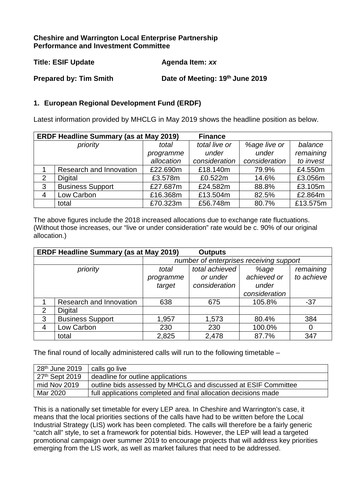## **Cheshire and Warrington Local Enterprise Partnership Performance and Investment Committee**

| <b>Title: ESIF Update</b> | Agenda Item: xx |
|---------------------------|-----------------|
|                           |                 |

**Prepared by: Tim Smith Date of Meeting: 19th June 2019** 

## **1. European Regional Development Fund (ERDF)**

Latest information provided by MHCLG in May 2019 shows the headline position as below.

|   | <b>ERDF Headline Summary (as at May 2019)</b> |            |               |               |           |
|---|-----------------------------------------------|------------|---------------|---------------|-----------|
|   | priority                                      | total      | total live or | %age live or  | balance   |
|   |                                               | programme  | under         | under         | remaining |
|   |                                               | allocation | consideration | consideration | to invest |
|   | Research and Innovation                       | £22.690m   | £18.140m      | 79.9%         | £4.550m   |
| 2 | Digital                                       | £3.578m    | £0.522m       | 14.6%         | £3.056m   |
| 3 | <b>Business Support</b>                       | £27.687m   | £24.582m      | 88.8%         | £3.105m   |
| 4 | Low Carbon                                    | £16.368m   | £13.504m      | 82.5%         | £2.864m   |
|   | total                                         | £70.323m   | £56.748m      | 80.7%         | £13.575m  |

The above figures include the 2018 increased allocations due to exchange rate fluctuations. (Without those increases, our "live or under consideration" rate would be c. 90% of our original allocation.)

|                | <b>ERDF Headline Summary (as at May 2019)</b><br><b>Outputs</b> |           |                                         |               |            |  |  |  |
|----------------|-----------------------------------------------------------------|-----------|-----------------------------------------|---------------|------------|--|--|--|
|                |                                                                 |           | number of enterprises receiving support |               |            |  |  |  |
|                | priority                                                        | total     | total achieved                          | %age          | remaining  |  |  |  |
|                |                                                                 | programme | or under                                | achieved or   | to achieve |  |  |  |
|                |                                                                 | target    | consideration                           | under         |            |  |  |  |
|                |                                                                 |           |                                         | consideration |            |  |  |  |
|                | Research and Innovation                                         | 638       | 675                                     | 105.8%        | $-37$      |  |  |  |
| $\overline{2}$ | <b>Digital</b>                                                  |           |                                         |               |            |  |  |  |
| 3              | <b>Business Support</b>                                         | 1,957     | 1,573                                   | 80.4%         | 384        |  |  |  |
| 4              | Low Carbon                                                      | 230       | 230                                     | 100.0%        | 0          |  |  |  |
|                | total                                                           | 2,825     | 2,478                                   | 87.7%         | 347        |  |  |  |

The final round of locally administered calls will run to the following timetable –

| 28 <sup>th</sup> June 2019 | calls go live                                                   |
|----------------------------|-----------------------------------------------------------------|
| $127th$ Sept 2019          | deadline for outline applications                               |
| mid Nov 2019               | outline bids assessed by MHCLG and discussed at ESIF Committee  |
| Mar 2020                   | full applications completed and final allocation decisions made |

This is a nationally set timetable for every LEP area. In Cheshire and Warrington's case, it means that the local priorities sections of the calls have had to be written before the Local Industrial Strategy (LIS) work has been completed. The calls will therefore be a fairly generic "catch all" style, to set a framework for potential bids. However, the LEP will lead a targeted promotional campaign over summer 2019 to encourage projects that will address key priorities emerging from the LIS work, as well as market failures that need to be addressed.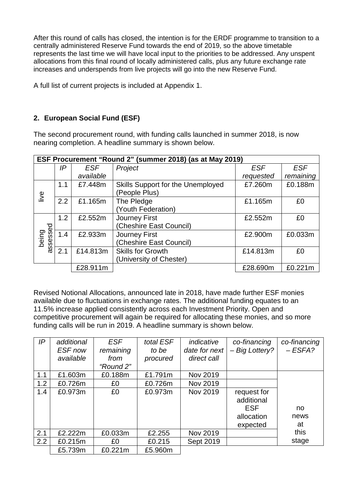After this round of calls has closed, the intention is for the ERDF programme to transition to a centrally administered Reserve Fund towards the end of 2019, so the above timetable represents the last time we will have local input to the priorities to be addressed. Any unspent allocations from this final round of locally administered calls, plus any future exchange rate increases and underspends from live projects will go into the new Reserve Fund.

A full list of current projects is included at Appendix 1.

## **2. European Social Fund (ESF)**

The second procurement round, with funding calls launched in summer 2018, is now nearing completion. A headline summary is shown below.

|                   | ESF Procurement "Round 2" (summer 2018) (as at May 2019) |            |                                   |            |            |  |  |  |  |
|-------------------|----------------------------------------------------------|------------|-----------------------------------|------------|------------|--|--|--|--|
|                   | IP                                                       | <b>ESF</b> | Project                           | <b>ESF</b> | <b>ESF</b> |  |  |  |  |
|                   |                                                          | available  |                                   | requested  | remaining  |  |  |  |  |
|                   | 1.1                                                      | £7.448m    | Skills Support for the Unemployed | £7.260m    | £0.188m    |  |  |  |  |
| live              |                                                          |            | (People Plus)                     |            |            |  |  |  |  |
|                   | 2.2                                                      | £1.165m    | The Pledge                        | £1.165m    | £0         |  |  |  |  |
|                   |                                                          |            | (Youth Federation)                |            |            |  |  |  |  |
|                   | 1.2                                                      | £2.552m    | <b>Journey First</b>              | £2.552m    | £0         |  |  |  |  |
|                   |                                                          |            | (Cheshire East Council)           |            |            |  |  |  |  |
| assessed<br>being | 1.4                                                      | £2.933m    | <b>Journey First</b>              | £2.900m    | £0.033m    |  |  |  |  |
|                   |                                                          |            | (Cheshire East Council)           |            |            |  |  |  |  |
|                   | 2.1                                                      | £14.813m   | <b>Skills for Growth</b>          | £14.813m   | £0         |  |  |  |  |
|                   |                                                          |            | (University of Chester)           |            |            |  |  |  |  |
|                   |                                                          | £28.911m   |                                   | £28.690m   | £0.221m    |  |  |  |  |

Revised Notional Allocations, announced late in 2018, have made further ESF monies available due to fluctuations in exchange rates. The additional funding equates to an 11.5% increase applied consistently across each Investment Priority. Open and competitive procurement will again be required for allocating these monies, and so more funding calls will be run in 2019. A headline summary is shown below.

| IP  | additional | <b>ESF</b> | total ESF | indicative    | co-financing   | co-financing |
|-----|------------|------------|-----------|---------------|----------------|--------------|
|     | ESF now    | remaining  | to be     | date for next | - Big Lottery? | $-ESFA?$     |
|     | available  | from       | procured  | direct call   |                |              |
|     |            | "Round 2"  |           |               |                |              |
| 1.1 | £1.603m    | £0.188m    | £1.791m   | Nov 2019      |                |              |
| 1.2 | £0.726m    | £0         | £0.726m   | Nov 2019      |                |              |
| 1.4 | £0.973m    | £0         | £0.973m   | Nov 2019      | request for    |              |
|     |            |            |           |               | additional     |              |
|     |            |            |           |               | <b>ESF</b>     | no           |
|     |            |            |           |               | allocation     | news         |
|     |            |            |           |               | expected       | at           |
| 2.1 | £2.222m    | £0.033m    | £2.255    | Nov 2019      |                | this         |
| 2.2 | £0.215m    | £0         | £0.215    | Sept 2019     |                | stage        |
|     | £5.739m    | £0.221m    | £5.960m   |               |                |              |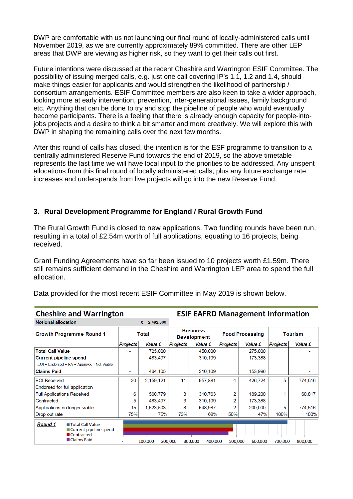DWP are comfortable with us not launching our final round of locally-administered calls until November 2019, as we are currently approximately 89% committed. There are other LEP areas that DWP are viewing as higher risk, so they want to get their calls out first.

Future intentions were discussed at the recent Cheshire and Warrington ESIF Committee. The possibility of issuing merged calls, e.g. just one call covering IP's 1.1, 1.2 and 1.4, should make things easier for applicants and would strengthen the likelihood of partnership / consortium arrangements. ESIF Committee members are also keen to take a wider approach, looking more at early intervention, prevention, inter-generational issues, family background etc. Anything that can be done to try and stop the pipeline of people who would eventually become participants. There is a feeling that there is already enough capacity for people-intojobs projects and a desire to think a bit smarter and more creatively. We will explore this with DWP in shaping the remaining calls over the next few months.

After this round of calls has closed, the intention is for the ESF programme to transition to a centrally administered Reserve Fund towards the end of 2019, so the above timetable represents the last time we will have local input to the priorities to be addressed. Any unspent allocations from this final round of locally administered calls, plus any future exchange rate increases and underspends from live projects will go into the new Reserve Fund.

## **3. Rural Development Programme for England / Rural Growth Fund**

The Rural Growth Fund is closed to new applications. Two funding rounds have been run, resulting in a total of £2.54m worth of full applications, equating to 16 projects, being received.

Grant Funding Agreements have so far been issued to 10 projects worth £1.59m. There still remains sufficient demand in the Cheshire and Warrington LEP area to spend the full allocation.

| <b>Cheshire and Warrington</b>                                                                 |                 |                |                                       | <b>ESIF EAFRD Management Information</b> |                        |         |                 |         |
|------------------------------------------------------------------------------------------------|-----------------|----------------|---------------------------------------|------------------------------------------|------------------------|---------|-----------------|---------|
| <b>Notional allocation</b>                                                                     |                 | 2,492,600<br>£ |                                       |                                          |                        |         |                 |         |
| <b>Growth Programme Round 1</b>                                                                | <b>Total</b>    |                | <b>Business</b><br><b>Development</b> |                                          | <b>Food Processing</b> |         | <b>Tourism</b>  |         |
|                                                                                                | <b>Projects</b> | Value £        | <b>Projects</b>                       | Value £                                  | <b>Projects</b>        | Value £ | <b>Projects</b> | Value £ |
| <b>Total Call Value</b>                                                                        |                 | 725,000        |                                       | 450,000                                  |                        | 275,000 |                 |         |
| <b>Current pipeline spend</b>                                                                  |                 | 483.497        |                                       | 310,109                                  |                        | 173,388 |                 |         |
| EOI + Endorsed + FA + Approved - Not Viable                                                    |                 |                |                                       |                                          |                        |         |                 |         |
| <b>Claims Paid</b>                                                                             |                 | 464,105        |                                       | 310,109                                  |                        | 153,996 |                 |         |
| <b>EOI Received</b>                                                                            | 20              | 2,159,121      | 11                                    | 957.881                                  | 4                      | 426,724 | 5               | 774,516 |
| Endorsed for full application                                                                  |                 |                |                                       |                                          |                        |         |                 |         |
| <b>Full Applications Received</b>                                                              | 6               | 560,779        | 3                                     | 310,763                                  | 2                      | 189,200 |                 | 60,817  |
| Contracted                                                                                     | 5               | 483.497        | 3                                     | 310,109                                  | 2                      | 173,388 | ۰               |         |
| Applications no longer viable                                                                  | 15              | 1,623,503      | 8                                     | 648.987                                  | 2                      | 200,000 | 5               | 774,516 |
| Drop out rate                                                                                  | 75%             | 75%            | 73%                                   | 68%                                      | 50%                    | 47%     | 100%            | 100%    |
| <b>Round 1</b><br><b>■ Total Call Value</b><br>■ Current pipeline spend<br><b>■ Contracted</b> |                 |                |                                       |                                          |                        |         |                 |         |
| ■ Claims Paid                                                                                  |                 | 100,000        | 200,000                               | 300,000<br>400,000                       | 500,000                | 600,000 | 700,000         | 800,000 |

Data provided for the most recent ESIF Committee in May 2019 is shown below.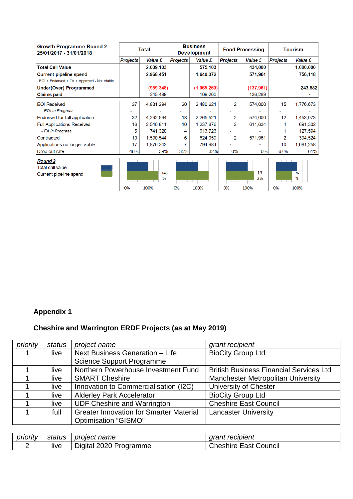| <b>Growth Programme Round 2</b><br>25/01/2017 - 31/01/2018          | Total           |                  | <b>Business</b><br><b>Development</b> |             | <b>Food Processing</b> |                  | <b>Tourism</b>    |                 |
|---------------------------------------------------------------------|-----------------|------------------|---------------------------------------|-------------|------------------------|------------------|-------------------|-----------------|
|                                                                     | <b>Projects</b> | Value £          | <b>Projects</b>                       | Value £     | <b>Projects</b>        | <b>Value £</b>   | <b>Projects</b>   | Value £         |
| <b>Total Call Value</b>                                             |                 | 2,009,103        |                                       | 575,103     |                        | 434,000          |                   | 1,000,000       |
| <b>Current pipeline spend</b>                                       |                 | 2,968,451        |                                       | 1,640,372   |                        | 571,961          |                   | 756,118         |
| EOI + Endorsed + FA + Approved - Not Viable                         |                 |                  |                                       |             |                        |                  |                   |                 |
| Under(Over) Programmed                                              |                 | (959, 348)       |                                       | (1,065,269) |                        | (137, 961)       |                   | 243,882         |
| <b>Claims paid</b>                                                  |                 | 245,489          |                                       | 109,200     |                        | 136,289          |                   |                 |
| <b>EOI</b> Received                                                 | 37              | 4,831,294        | 20                                    | 2,480,621   | 2                      | 574,000          | 15                | 1,776,673       |
| - EOI In Progress                                                   |                 |                  |                                       |             |                        |                  |                   |                 |
| Endorsed for full application                                       | 32              | 4,292,594        | 18                                    | 2,265,521   | 2                      | 574,000          | 12                | 1,453,073       |
| <b>Full Applications Received</b>                                   | 16              | 2,540,811        | 10                                    | 1,237,876   | 2                      | 611,634          | 4                 | 691,302         |
| - FA In Progress                                                    | 5               | 741,320          | 4                                     | 613,726     |                        |                  |                   | 127,594         |
| Contracted                                                          | 10              | 1,590,544        | 6                                     | 624,059     | 2                      | 571,961          |                   | 394,524         |
| Applications no longer viable                                       | 17              | 1,876,243        |                                       | 794,984     |                        |                  | 10                | 1,081,258       |
| Drop out rate                                                       | 46%             | 39%              | 35%                                   | 32%         | 0%                     | $0\%$            | 67%               | 61%             |
| <b>Round 2</b><br><b>Total call value</b><br>Current pipeline spend | 0%              | 148<br>%<br>100% | $-1$ $-1$ $-1$<br>0%                  | 100%        | 0%                     | 13<br>2%<br>100% | The Control<br>0% | 76<br>%<br>100% |

# **Appendix 1**

# **Cheshire and Warrington ERDF Projects (as at May 2019)**

| priority | status | project name                                   | grant recipient                                |
|----------|--------|------------------------------------------------|------------------------------------------------|
|          | live   | Next Business Generation - Life                | <b>BioCity Group Ltd</b>                       |
|          |        | <b>Science Support Programme</b>               |                                                |
|          | live   | Northern Powerhouse Investment Fund            | <b>British Business Financial Services Ltd</b> |
|          | live   | <b>SMART Cheshire</b>                          | <b>Manchester Metropolitan University</b>      |
|          | live   | Innovation to Commercialisation (I2C)          | University of Chester                          |
|          | live   | <b>Alderley Park Accelerator</b>               | <b>BioCity Group Ltd</b>                       |
|          | live   | <b>UDF Cheshire and Warrington</b>             | <b>Cheshire East Council</b>                   |
|          | full   | <b>Greater Innovation for Smarter Material</b> | <b>Lancaster University</b>                    |
|          |        | Optimisation "GISMO"                           |                                                |

| priority | status | proiect<br><sup>.</sup> name       | recipient<br>$\sim$ $\sim$ $\sim$<br>uldill |
|----------|--------|------------------------------------|---------------------------------------------|
|          | live   | -2020<br>Programme<br>Digital 2020 | Council<br>' heshire۔<br>East               |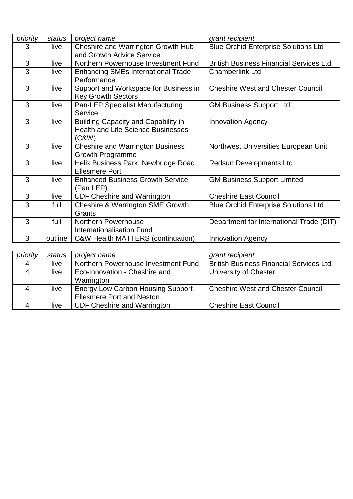| priority       | status  | project name                                                                                     | grant recipient                                |  |
|----------------|---------|--------------------------------------------------------------------------------------------------|------------------------------------------------|--|
| 3              | live    | Cheshire and Warrington Growth Hub                                                               | <b>Blue Orchid Enterprise Solutions Ltd</b>    |  |
|                |         | and Growth Advice Service                                                                        |                                                |  |
| $\mathfrak{S}$ | live    | Northern Powerhouse Investment Fund                                                              | <b>British Business Financial Services Ltd</b> |  |
| 3              | live    | <b>Enhancing SMEs International Trade</b><br>Performance                                         | <b>Chamberlink Ltd</b>                         |  |
| 3              | live    | Support and Workspace for Business in<br><b>Key Growth Sectors</b>                               | <b>Cheshire West and Chester Council</b>       |  |
| 3              | live    | <b>Pan-LEP Specialist Manufacturing</b><br>Service                                               | <b>GM Business Support Ltd</b>                 |  |
| 3              | live    | <b>Building Capacity and Capability in</b><br><b>Health and Life Science Businesses</b><br>(C&W) | <b>Innovation Agency</b>                       |  |
| 3              | live    | <b>Cheshire and Warrington Business</b><br><b>Growth Programme</b>                               | Northwest Universities European Unit           |  |
| 3              | live    | Helix Business Park, Newbridge Road,<br><b>Ellesmere Port</b>                                    | <b>Redsun Developments Ltd</b>                 |  |
| 3              | live    | <b>Enhanced Business Growth Service</b><br>(Pan LEP)                                             | <b>GM Business Support Limited</b>             |  |
| $\mathfrak{S}$ | live    | <b>UDF Cheshire and Warrington</b>                                                               | <b>Cheshire East Council</b>                   |  |
| 3              | full    | <b>Cheshire &amp; Warrington SME Growth</b><br>Grants                                            | <b>Blue Orchid Enterprise Solutions Ltd</b>    |  |
| 3              | full    | <b>Northern Powerhouse</b><br><b>Internationalisation Fund</b>                                   | Department for International Trade (DIT)       |  |
| 3              | outline | <b>C&amp;W Health MATTERS (continuation)</b>                                                     | <b>Innovation Agency</b>                       |  |

| priority | status | project name                             | grant recipient                                |  |
|----------|--------|------------------------------------------|------------------------------------------------|--|
| 4        | live   | Northern Powerhouse Investment Fund      | <b>British Business Financial Services Ltd</b> |  |
| 4        | live   | Eco-Innovation - Cheshire and            | University of Chester                          |  |
|          |        | Warrington                               |                                                |  |
| 4        | live   | <b>Energy Low Carbon Housing Support</b> | <b>Cheshire West and Chester Council</b>       |  |
|          |        | <b>Ellesmere Port and Neston</b>         |                                                |  |
|          | live   | <b>UDF Cheshire and Warrington</b>       | <b>Cheshire East Council</b>                   |  |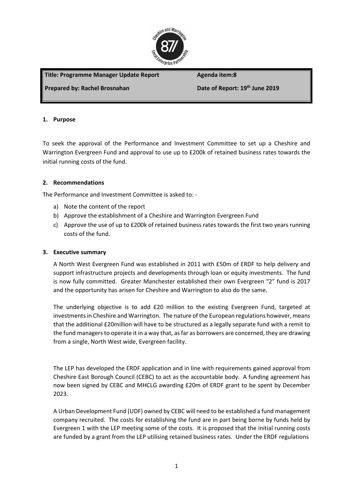

## Title: Programme Manager Update Report **Agenda item:8**

## **Prepared by: Rachel Brosnahan Date of Report: 19<sup>th</sup> June 2019**

### **1. Purpose**

To seek the approval of the Performance and Investment Committee to set up a Cheshire and Warrington Evergreen Fund and approval to use up to £200k of retained business rates towards the initial running costs of the fund.

### **2. Recommendations**

The Performance and Investment Committee is asked to: -

- a) Note the content of the report
- b) Approve the establishment of a Cheshire and Warrington Evergreen Fund
- c) Approve the use of up to £200k of retained business rates towards the first two years running costs of the fund.

### **3. Executive summary**

A North West Evergreen Fund was established in 2011 with £50m of ERDF to help delivery and support infrastructure projects and developments through loan or equity investments. The fund is now fully committed. Greater Manchester established their own Evergreen "2" fund is 2017 and the opportunity has arisen for Cheshire and Warrington to also do the same.

The underlying objective is to add £20 million to the existing Evergreen Fund, targeted at investments in Cheshire and Warrington. The nature of the European regulations however, means that the additional £20million will have to be structured as a legally separate fund with a remit to the fund managers to operate it in a way that, as far as borrowers are concerned, they are drawing from a single, North West wide, Evergreen facility.

The LEP has developed the ERDF application and in line with requirements gained approval from Cheshire East Borough Council (CEBC) to act as the accountable body. A funding agreement has now been signed by CEBC and MHCLG awarding £20m of ERDF grant to be spent by December 2023.

A Urban Development Fund (UDF) owned by CEBC will need to be established a fund management company recruited. The costs for establishing the fund are in part being borne by funds held by Evergreen 1 with the LEP meeting some of the costs. It is proposed that the initial running costs are funded by a grant from the LEP utilising retained business rates. Under the ERDF regulations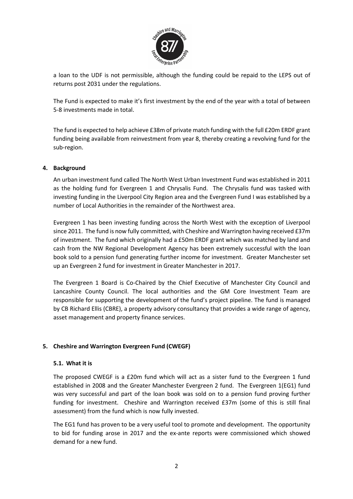

a loan to the UDF is not permissible, although the funding could be repaid to the LEPS out of returns post 2031 under the regulations.

The Fund is expected to make it's first investment by the end of the year with a total of between 5-8 investments made in total.

The fund is expected to help achieve £38m of private match funding with the full £20m ERDF grant funding being available from reinvestment from year 8, thereby creating a revolving fund for the sub-region.

### **4. Background**

An urban investment fund called The North West Urban Investment Fund was established in 2011 as the holding fund for Evergreen 1 and Chrysalis Fund. The Chrysalis fund was tasked with investing funding in the Liverpool City Region area and the Evergreen Fund I was established by a number of Local Authorities in the remainder of the Northwest area.

Evergreen 1 has been investing funding across the North West with the exception of Liverpool since 2011. The fund is now fully committed, with Cheshire and Warrington having received £37m of investment. The fund which originally had a £50m ERDF grant which was matched by land and cash from the NW Regional Development Agency has been extremely successful with the loan book sold to a pension fund generating further income for investment. Greater Manchester set up an Evergreen 2 fund for investment in Greater Manchester in 2017.

The Evergreen 1 Board is Co-Chaired by the Chief Executive of Manchester City Council and Lancashire County Council. The local authorities and the GM Core Investment Team are responsible for supporting the development of the fund's project pipeline. The fund is managed by CB Richard Ellis (CBRE), a property advisory consultancy that provides a wide range of agency, asset management and property finance services.

## **5. Cheshire and Warrington Evergreen Fund (CWEGF)**

### **5.1. What it is**

The proposed CWEGF is a £20m fund which will act as a sister fund to the Evergreen 1 fund established in 2008 and the Greater Manchester Evergreen 2 fund. The Evergreen 1(EG1) fund was very successful and part of the loan book was sold on to a pension fund proving further funding for investment. Cheshire and Warrington received £37m (some of this is still final assessment) from the fund which is now fully invested.

The EG1 fund has proven to be a very useful tool to promote and development. The opportunity to bid for funding arose in 2017 and the ex-ante reports were commissioned which showed demand for a new fund.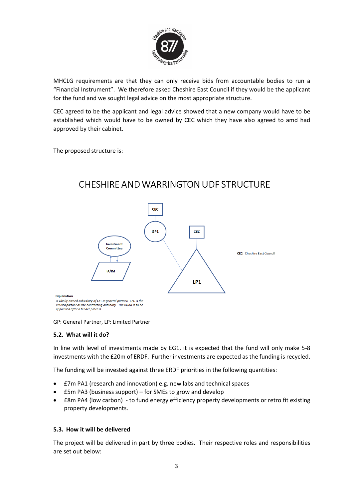

MHCLG requirements are that they can only receive bids from accountable bodies to run a "Financial Instrument". We therefore asked Cheshire East Council if they would be the applicant for the fund and we sought legal advice on the most appropriate structure.

CEC agreed to be the applicant and legal advice showed that a new company would have to be established which would have to be owned by CEC which they have also agreed to amd had approved by their cabinet.

The proposed structure is:



# CHESHIRE AND WARRINGTON UDE STRUCTURE

GP: General Partner, LP: Limited Partner

### **5.2. What will it do?**

In line with level of investments made by EG1, it is expected that the fund will only make 5-8 investments with the £20m of ERDF. Further investments are expected as the funding is recycled.

The funding will be invested against three ERDF priorities in the following quantities:

- £7m PA1 (research and innovation) e.g. new labs and technical spaces
- £5m PA3 (business support) for SMEs to grow and develop
- £8m PA4 (low carbon) to fund energy efficiency property developments or retro fit existing property developments.

### **5.3. How it will be delivered**

The project will be delivered in part by three bodies. Their respective roles and responsibilities are set out below: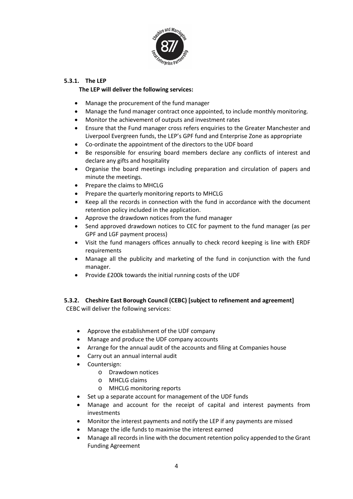

### **5.3.1. The LEP**

### **The LEP will deliver the following services:**

- Manage the procurement of the fund manager
- Manage the fund manager contract once appointed, to include monthly monitoring.
- Monitor the achievement of outputs and investment rates
- Ensure that the Fund manager cross refers enquiries to the Greater Manchester and Liverpool Evergreen funds, the LEP's GPF fund and Enterprise Zone as appropriate
- Co-ordinate the appointment of the directors to the UDF board
- Be responsible for ensuring board members declare any conflicts of interest and declare any gifts and hospitality
- Organise the board meetings including preparation and circulation of papers and minute the meetings.
- Prepare the claims to MHCLG
- Prepare the quarterly monitoring reports to MHCLG
- Keep all the records in connection with the fund in accordance with the document retention policy included in the application.
- Approve the drawdown notices from the fund manager
- Send approved drawdown notices to CEC for payment to the fund manager (as per GPF and LGF payment process)
- Visit the fund managers offices annually to check record keeping is line with ERDF requirements
- Manage all the publicity and marketing of the fund in conjunction with the fund manager.
- Provide £200k towards the initial running costs of the UDF

### **5.3.2. Cheshire East Borough Council (CEBC) [subject to refinement and agreement]** CEBC will deliver the following services:

- Approve the establishment of the UDF company
- Manage and produce the UDF company accounts
- Arrange for the annual audit of the accounts and filing at Companies house
- Carry out an annual internal audit
- Countersign:
	- o Drawdown notices
	- o MHCLG claims
	- o MHCLG monitoring reports
- Set up a separate account for management of the UDF funds
- Manage and account for the receipt of capital and interest payments from investments
- Monitor the interest payments and notify the LEP if any payments are missed
- Manage the idle funds to maximise the interest earned
- Manage all records in line with the document retention policy appended to the Grant Funding Agreement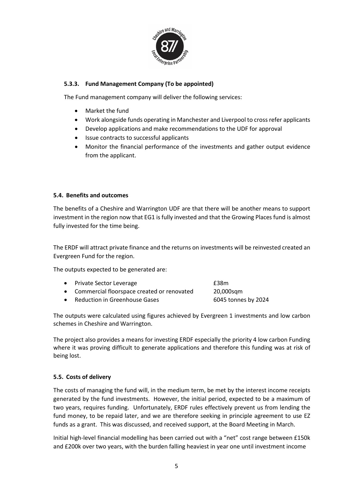

### **5.3.3. Fund Management Company (To be appointed)**

The Fund management company will deliver the following services:

- Market the fund
- Work alongside funds operating in Manchester and Liverpool to cross refer applicants
- Develop applications and make recommendations to the UDF for approval
- Issue contracts to successful applicants
- Monitor the financial performance of the investments and gather output evidence from the applicant.

### **5.4. Benefits and outcomes**

The benefits of a Cheshire and Warrington UDF are that there will be another means to support investment in the region now that EG1 is fully invested and that the Growing Places fund is almost fully invested for the time being.

The ERDF will attract private finance and the returns on investments will be reinvested created an Evergreen Fund for the region.

The outputs expected to be generated are:

| • Private Sector Leverage                    | £38m                |
|----------------------------------------------|---------------------|
| • Commercial floorspace created or renovated | 20,000sgm           |
| • Reduction in Greenhouse Gases              | 6045 tonnes by 2024 |

The outputs were calculated using figures achieved by Evergreen 1 investments and low carbon schemes in Cheshire and Warrington.

The project also provides a means for investing ERDF especially the priority 4 low carbon Funding where it was proving difficult to generate applications and therefore this funding was at risk of being lost.

### **5.5. Costs of delivery**

The costs of managing the fund will, in the medium term, be met by the interest income receipts generated by the fund investments. However, the initial period, expected to be a maximum of two years, requires funding. Unfortunately, ERDF rules effectively prevent us from lending the fund money, to be repaid later, and we are therefore seeking in principle agreement to use EZ funds as a grant. This was discussed, and received support, at the Board Meeting in March.

Initial high-level financial modelling has been carried out with a "net" cost range between £150k and £200k over two years, with the burden falling heaviest in year one until investment income